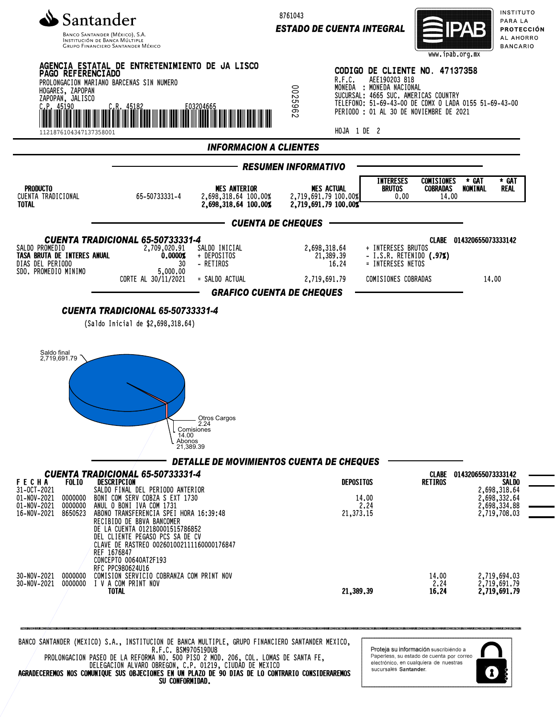

INSTITUCIÓN DE BANCA MÚLTIP **GRUPO FINANCIERO SANTANDER MÉXICO**  8761043

*ESTADO DE CUENTA INTEGRAL*



INSTITUTO PARA LA PROTECCIÓN AL AHORRO **BANCARIO** 



R.F.C. BSM970519DU8 PROLONGACION PASEO DE LA REFORMA NO. 500 PISO 2 MOD. 206, COL. LOMAS DE SANTA FE, DELEGACION ALVARO OBREGON, C.P. 01219, CIUDAD DE MEXICO AGRADECEREMOS NOS COMUNIQUE SUS OBJECIONES EN UN PLAZO DE 90 DIAS DE LO CONTRARIO CONSIDERAREMOS SU CONFORMIDAD.

Proteja su información suscribiéndo a Paperless, su estado de cuenta por correo electrónico, en cualquiera de nuestras sucursales Santander

1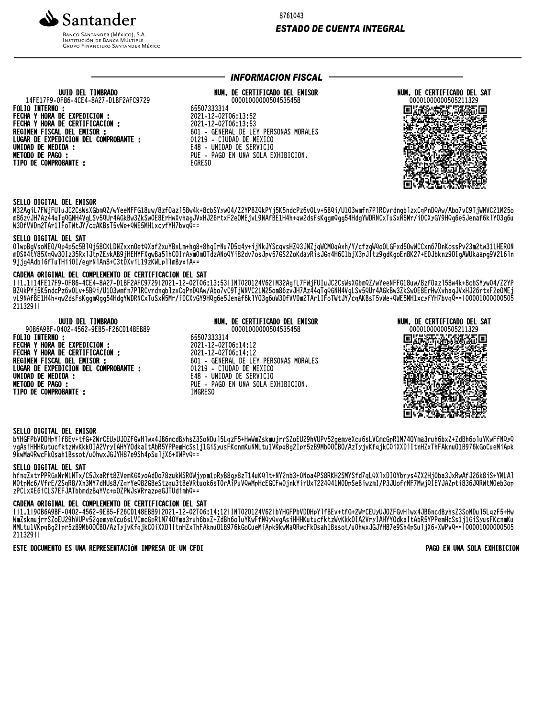

**BANCO SANTANDER (MÉXICO), S.A. INSTITUCIÓN DE BANCA MÚLTIPLE**<br>INSTITUCIÓN DE BANCA MÚLTIPLE<br>GRUPO FINANCIERO SANTANDER MÉXICO 8761043

## **ESTADO DE CUENTA INTEGRAL**

### UUID DEL TIMBRADO 14FE17F9-0F86-4CE4-8A27-D1BF2AFC9729 **FOLIO INTERNO:**

FECHA Y HORA DE EXPEDICION :<br>FECHA Y HORA DE CERTIFICACION : REGIMEN FISCAL DEL EMISOR : LUGAR DE EXPEDICION DEL COMPROBANTE : UNIDAD DE MEDIDA :<br>METODO DE PAGO : TIPO DE COMPROBANTE :

# **INFORMACION FISCAL -**

# NUM. DE CERTIFICADO DEL EMISOR

00001000000504535458 65507333314 2021-12-02T06:13:52 2021-12-02T06:13:53 601 - GENERAL DE LEY PERSONAS MORALES 01219 - CIUDAD DE MEXICO E48 - UNIDAD DE SERVICIO PUE - PAGO EN UNA SOLA EXHIBICION. **EGRESO** 



## SELLO DIGITAL DEL EMISOR

M32AgiL7FWjFUIuJC2CsWsXGbmQZ/wYeeNFFG18uw/8zfOaz158w4k+8cbSYyw04/Z2YPBZQkPYj5K5ndcPz6vOLv+5BQi/U103wmfn7P1RCvrdngb1zxCqPnDQAw/Abo7vC9TjWNVC21M25o m86zvJH7Az44qTgQGNH4VgLSv5QUr4AGkBw3ZkSwOE8ErHwXvhagJVxHJ26rtxF2eOMEjvL9NAfBE1H4h+qw2dsFsKggmQgg54HdgYWDRNCxTuSxN5Mr/iDCXyGY9HQg6e5Jenaf6k1YO3g6u<br>m86zvJH7Az44qTgQGNH4VgLSv5QUr4AGkBw3ZkSwOE8ErHwXvhagJVxHJ26rtxF2eOMEjvL9NAfB

## SELLO DIGITAL DEL SAT

01wpBgVsoNE0/Qp4p5c5B1Qj58CKLDNZxxnOetQXaf2xuYBxLm+hg8+8hgIrNu7D5q4y+ijNkJYScqvsHZQ3JMZjqWCMOqAxh/Y/cfzgWQoOLGFxd5OwWCCxn67DnKossPv23m2tw311HERON<br>mDSX4tY85XqQw30Iz35Rx1JtpZEykAB9jHEHYFXgwBa51hCOIrAymOmOTdzANoQYi82dv7osJpv5 9jjg4Adbl6fTuTHiiOI/egrNlAn8+C3tDXviL19zKWLpllmByxiA==

#### CADENA ORIGINAL DEL COMPLEMENTO DE CERTIFICACION DEL SAT

ll1.1l14FE17F9-OF86-4CE4-8A27-D1BF2AFC9729l2O21-12-O2TO6:13:53lINTO2O124V62lM32AgiL7FWjFUIuJC2CsWsXGbmQZ/wYeeNFFG18uw/8zf0az158w4k+8cbSYyw04/Z2YP WORKERFIND --0.00-4014-0AZ/-DIDIZALG7ZSIZOZI-IZ-OZIOO.IS.SSIINIOZOIZ4VOZIMSZAGINIZMOIZUSWSKODWYZZWIEENIITOIDOWYOZIOZZIOW4K+0CDSI3WO4YZZIM<br>WORKERFIND --0.0001003054HdgYWDRNCxTuSxN5Mr/iDCXyGY9HQg6e5Jenaf6k1YO3g6uW3DfVVDm2TAr 21132911

# **UUID DEL TIMBRADO**

90B6A9BF-0402-4562-9EB5-F26CD148EB89 **FOLIO INTERNO:** FECHA Y HORA DE EXPEDICION :<br>FECHA Y HORA DE CERTIFICACION : REGIMEN FISCAL DEL EMISOR : LUGAR DE EXPEDICION DEL COMPROBANTE : UNIDAD DE MEDIDA :<br>METODO DE PAGO : TIPO DE COMPROBANTE :

### NUM. DE CERTIFICADO DEL EMISOR

00001000000504535458 65507333314 2021-12-02T06:14:12<br>2021-12-02T06:14:12 601 - GENERAL DE LEY PERSONAS MORALES 01219 - CIUDAD DE MEXICO E48 - UNIDAD DE SERVICIO PUE - PAGO EN UNA SOLA EXHIBICION. **INGRESO** 

## NUM. DE CERTIFICADO DEL SAT 00001000000505211329



## SELLO DIGITAL DEL EMISOR

bYHGFPbVDDHpY1fBEv+tfG+2WrCEUyUJOZFGvH1wx4JB6ncdByhsZ3SoNDu15LqzF5+HwWmZskmujrrSZoEU29hVUPv52qemyeXcu6sLVCmcGpR1M740Yma3ruh6bxZ+ZdBh6o1uYKwFfNQyQ vgAsiHHHKutucfktzWvKkkOIA2VryIAHYYOdkaItAbR5YPPemHcSs1j1GiSyusFKcnmKuNMLtu1VKpqBg2Ipr5zB9Mb00CBO/AzTyjvKfqjkC0iXXDlItnHZxThFAknuO1B976kGoCueMiApk 9KwMaQRwcFkOsah1Bssot/u0hwxJGJYH87e9Sh4pSuljX6+XWPvQ==

## SELLO DIGITAL DEL SAT

hfnqZxtrPPRGxMrMlNTx/C5JxaRft8ZVemKGXyoAdDo78zukNSR0Wjypm1pRyB8gy8zT14uKQlt+NY2nb3+ONoa4PS8RKH2SMYSfd7qLQXlxDIOYbrys4ZX2HjOba3JxRwAfJ26k8iS+YMLAl<br>MOtpNc6/VfrE/2SqR8/Xn3MY7dHUs8/ZqrYeQ82GBeStzqu3tBeVRtuok6sT0rAiPuVQwMpHcEGC zPCLxXE6iCLS7EFJATbbmdzBqYVc+p0ZPWJsVRrazpeGJTUdimhQ==

#### CADENA ORIGINAL DEL COMPLEMENTO DE CERTIFICACION DEL SAT

ll1.1l90B6A9BF-0402-4562-9EB5-F26CD148EB89l2021-12-02T06:14:12lINT020124V62lbYHGFPbVDDHpY1fBEv+tfG+2WrCEUyUJ0ZFGvH1wx4JB6ncdByhsZ3SoNDu15LazF5+Hw WmZskmujrrSZoEU29hVUPv52gemyeXcu6sLVCmcGpR1M740Yma3ruh6bxZ+ZdBh6oluYKwFfNQyQvgAsiHHHKutucfktzWvKkkOIA2VryIAHYYOdkaItAbR5YPPemHcSs1j1GiSyusFKcnmKu<br>NMLtu1VKpqBg2Ipr5zB9Mb0OCBO/AzTyjvKfqjkC0iXXDlItnHZxThFAknu01B976kGoCueMiApk 21132911

ESTE DOCUMENTO ES UNA REPRESENTACIÓN IMPRESA DE UN CFDI

PAGO EN UNA SOLA EXHIBICION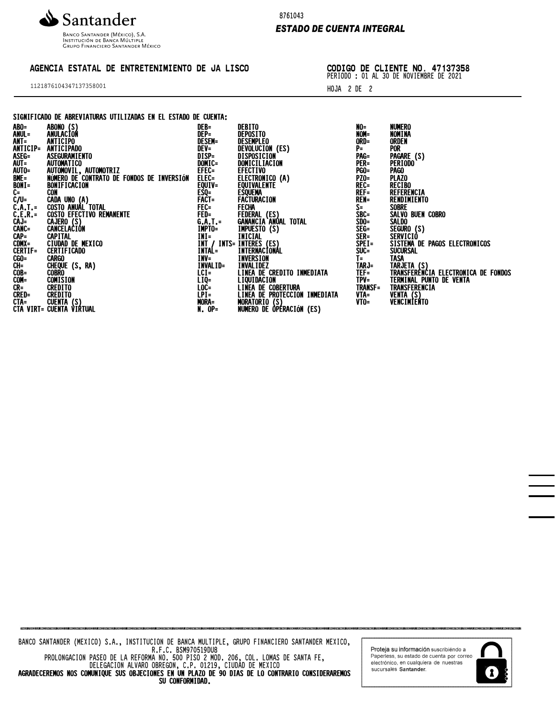

Banco Santander (México), S.A.<br>Institución de Banca Múltiple<br>Grupo Financiero Santander México

# AGENCIA ESTATAL DE ENTRETENIMIENTO DE JA LISCO

1121876104347137358001

8761043

## *ESTADO DE CUENTA INTEGRAL*

CODIGO DE CLIENTE NO. 47137358 PERIODO : 01 AL 30 DE NOVIEMBRE DE 2021

HOJA 2 DE 2

## SIGNIFICADO DE ABREVIATURAS UTILIZADAS EN EL ESTADO DE CUENTA:

|                                                                                                                                                                                                                                                                                                   | DER=                     | <b>DERTIO</b>                                  | NU=                   | NUMERO                                             |
|---------------------------------------------------------------------------------------------------------------------------------------------------------------------------------------------------------------------------------------------------------------------------------------------------|--------------------------|------------------------------------------------|-----------------------|----------------------------------------------------|
|                                                                                                                                                                                                                                                                                                   | DEP=                     | DEPOSITO                                       | NOM=                  | NOMINA                                             |
|                                                                                                                                                                                                                                                                                                   | <b>DESEM=</b>            | DESEMPLEO                                      | ORD=                  | ORDEN                                              |
|                                                                                                                                                                                                                                                                                                   | DEV=<br>DISP=            | DEVOLUCION (ES)<br>DISPOSICION                 | P=                    | <b>POR</b>                                         |
| ASEGURAMIENTO                                                                                                                                                                                                                                                                                     |                          |                                                | PAG=                  | PAGARE (S)                                         |
|                                                                                                                                                                                                                                                                                                   | DOMIC=                   | DOMICILIACION                                  | PER=                  | <b>PERIODO</b>                                     |
| AUTOMOVIL, AUTOMOTRIZ                                                                                                                                                                                                                                                                             | EFEC=                    | <b>EFECTIVO</b>                                | <b>PGO=</b>           | <b>PAGO</b>                                        |
| NÚMERO DE CONTRATO DE FONDOS DE INVERSIÓN                                                                                                                                                                                                                                                         |                          |                                                |                       | <b>PLAZO</b>                                       |
| ABU=<br>ANUL=<br>ANTICIP=<br>ANTICIP=<br>ANTICIP=<br>ANTICIP=<br>ANTICIP=<br>ANTICIP=<br>ANTICIP=<br>ANTICIP=<br>ANTICIP=<br>AUTOMATICO<br>AUTOMATICO<br>AUTOMATICO<br>BONIF=<br>MUNERO DE CON<br>CAD=<br>CADA UNO (A<br>CAD=<br>CADA UNO (A<br>CAD=<br>CADA UNO (A<br>CAD<br><b>BONIFICACION</b> | ELEC=<br>EQUIV=          | ELECTRONICO (A)<br>EQUIVALENTE                 | PZO=<br>Rec=          | <b>RECIBO</b>                                      |
|                                                                                                                                                                                                                                                                                                   |                          | <b>ESQUEMA</b>                                 | $REF =$               | REFERENCIA                                         |
| CADA UNO (A)<br>COSTO ANUAL TOTAL<br>COSTO EFECTIVO REMANENTE                                                                                                                                                                                                                                     | EŠQ=<br>Fact=            | FACTURACION                                    | <b>REN=</b>           | RENDIMIENTO                                        |
|                                                                                                                                                                                                                                                                                                   |                          | FECHA                                          | $S =$                 | <b>SOBRE</b>                                       |
|                                                                                                                                                                                                                                                                                                   | FEC=<br>FED=             | FEDERAL (ES)                                   | SBC=<br>SDO=          | SALVO BUEN COBRO                                   |
| CAJERO (S)<br>CANCELACIÓN                                                                                                                                                                                                                                                                         | <b>G.A.T.=</b><br>IMPTO= | GANANCIA ANÚAL TOTAL                           |                       | SALDO                                              |
|                                                                                                                                                                                                                                                                                                   |                          | <b>IMPUESTO (S)</b>                            |                       | SEGURO (S)                                         |
|                                                                                                                                                                                                                                                                                                   | $INI =$                  | <b>INICIAL</b>                                 | SEG=<br>SER=<br>SPEI= | SERVICIÒ                                           |
| CIUDAD DE MEXICO                                                                                                                                                                                                                                                                                  |                          | INT / INTS= INTERES (ES)                       |                       | SISTEMA DE PAGOS ELECTRONICOS                      |
| <b>CERTIFICADO</b>                                                                                                                                                                                                                                                                                | INTAL=                   | INTERNACIONÁL                                  | SUC=                  | <b>SUCURSAL</b>                                    |
|                                                                                                                                                                                                                                                                                                   | INV=                     | INVERSION                                      | T=                    | <b>TASA</b>                                        |
|                                                                                                                                                                                                                                                                                                   | INVALID=                 | <b>INVALIDEZ</b>                               | TARJ=                 | TARJETA (S)<br>TRANSFERENCIA ELECTRONICA DE FONDOS |
|                                                                                                                                                                                                                                                                                                   | $LCI =$                  | LINEA DE CREDITO INMEDIATA                     | $TF =$                |                                                    |
|                                                                                                                                                                                                                                                                                                   | LIQ=<br>LOC=             | LIQUIDACION                                    | $TPV =$               | TERMINAL PUNTO DE VENTA                            |
|                                                                                                                                                                                                                                                                                                   |                          | <b>LINEA DE COBERTURA</b>                      | <b>TRANSF=</b>        | TRANSFERENCIA                                      |
|                                                                                                                                                                                                                                                                                                   | LPI=                     |                                                |                       |                                                    |
|                                                                                                                                                                                                                                                                                                   | MORA=                    | LINEA DE PROTECCION INMEDIATA<br>MORATORIO (S) | $VTA = VTO =$         | VENTA (S)<br>VENCIMIENTO                           |
| <b>CENTER CONTINUES</b><br>COS<br>COSE CARGO<br>CON= CONTSION<br>CON= CONTSION<br>CRED= CREDITO<br>CTA= CUENTA (S)<br>CTA= CUENTA (S)<br>CTA= CUENTA (S)                                                                                                                                          | $N. OP =$                | NUMERO DE ÒPÉRACIÓN (ES)                       |                       |                                                    |
|                                                                                                                                                                                                                                                                                                   |                          |                                                |                       |                                                    |

BANCO SANTANDER (MEXICO) S.A., INSTITUCION DE BANCA MULTIPLE, GRUPO FINANCIERO SANTANDER MEXICO, R.F.C. BSM970519DU8 PROLONGACION PASEO DE LA REFORMA NO. 500 PISO 2 MOD. 206, COL. LOMAS DE SANTA FE, DELEGACION ALVARO OBREGON, C.P. 01219, CIUDAD DE MEXICO AGRADECEREMOS NOS COMUNIQUE SUS OBJECIONES EN UN PLAZO DE 90 DIAS DE LO CONTRARIO CONSIDERAREMOS SU CONFORMIDAD.

Proteja su información suscribiendo a Paperless, su estado de cuenta por correo<br>electrónico, en cualquiera de nuestras sucursales Santander.